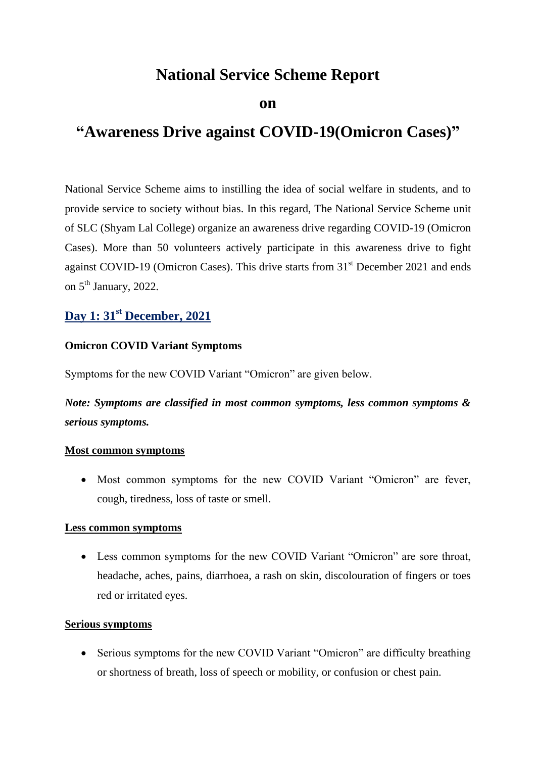# **National Service Scheme Report**

#### **on**

# **"Awareness Drive against COVID-19(Omicron Cases)"**

National Service Scheme aims to instilling the idea of social welfare in students, and to provide service to society without bias. In this regard, The National Service Scheme unit of SLC (Shyam Lal College) organize an awareness drive regarding COVID-19 (Omicron Cases). More than 50 volunteers actively participate in this awareness drive to fight against COVID-19 (Omicron Cases). This drive starts from 31<sup>st</sup> December 2021 and ends on 5<sup>th</sup> January, 2022.

## **Day 1: 31st December, 2021**

#### **Omicron COVID Variant Symptoms**

Symptoms for the new COVID Variant "Omicron" are given below.

*Note: Symptoms are classified in most common symptoms, less common symptoms & serious symptoms.*

#### **Most common symptoms**

• Most common symptoms for the new COVID Variant "Omicron" are fever, cough, tiredness, loss of taste or smell.

#### **Less common symptoms**

 Less common symptoms for the new COVID Variant "Omicron" are sore throat, headache, aches, pains, diarrhoea, a rash on skin, discolouration of fingers or toes red or irritated eyes.

#### **Serious symptoms**

• Serious symptoms for the new COVID Variant "Omicron" are difficulty breathing or shortness of breath, loss of speech or mobility, or confusion or chest pain.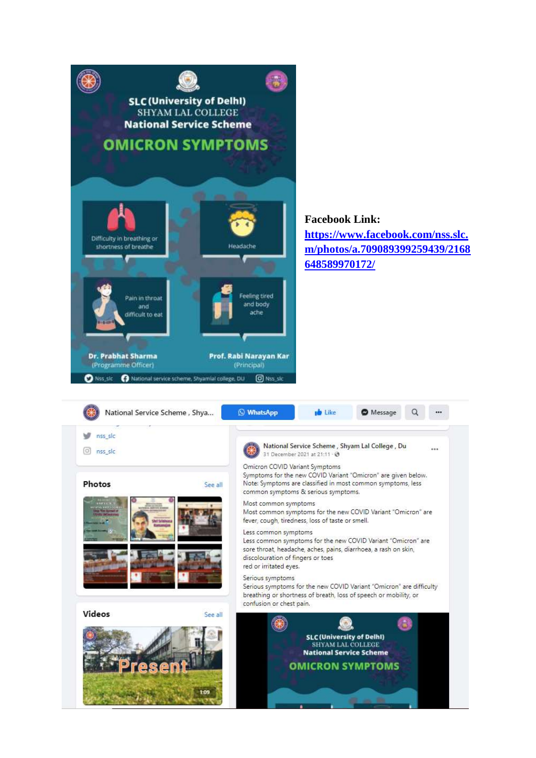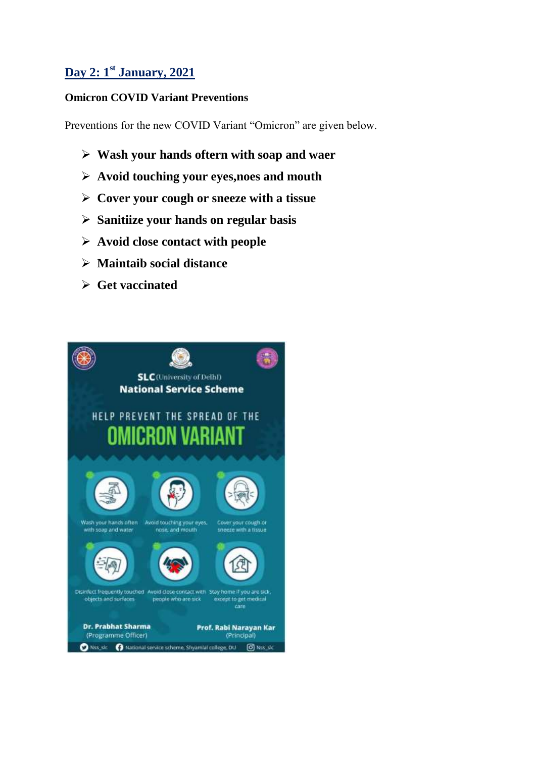## **Day 2: 1 st January, 2021**

## **Omicron COVID Variant Preventions**

Preventions for the new COVID Variant "Omicron" are given below.

- **Wash your hands oftern with soap and waer**
- **Avoid touching your eyes,noes and mouth**
- **Cover your cough or sneeze with a tissue**
- **Sanitiize your hands on regular basis**
- **Avoid close contact with people**
- **Maintaib social distance**
- **Get vaccinated**

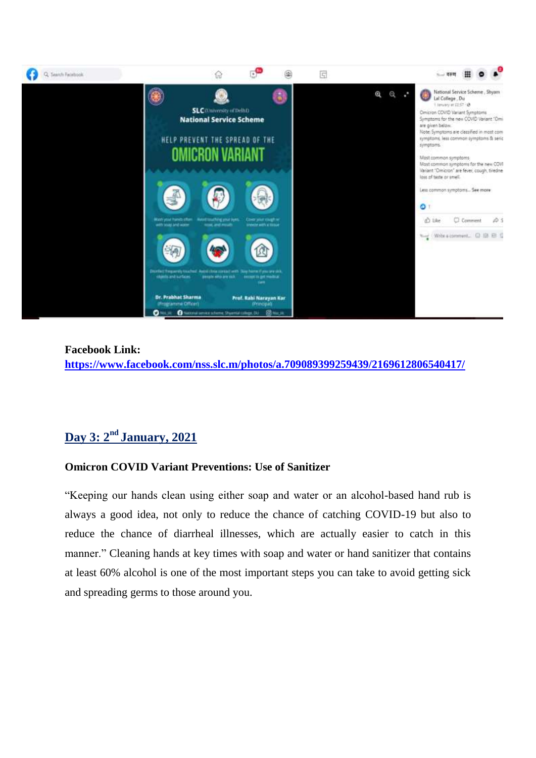

**Facebook Link: <https://www.facebook.com/nss.slc.m/photos/a.709089399259439/2169612806540417/>**

# **Day 3: 2nd January, 2021**

## **Omicron COVID Variant Preventions: Use of Sanitizer**

"Keeping our hands clean using either soap and water or an alcohol-based hand rub is always a good idea, not only to reduce the chance of catching COVID-19 but also to reduce the chance of diarrheal illnesses, which are actually easier to catch in this manner." Cleaning hands at key times with soap and water or hand sanitizer that contains at least 60% alcohol is one of the most important steps you can take to avoid getting sick and spreading germs to those around you.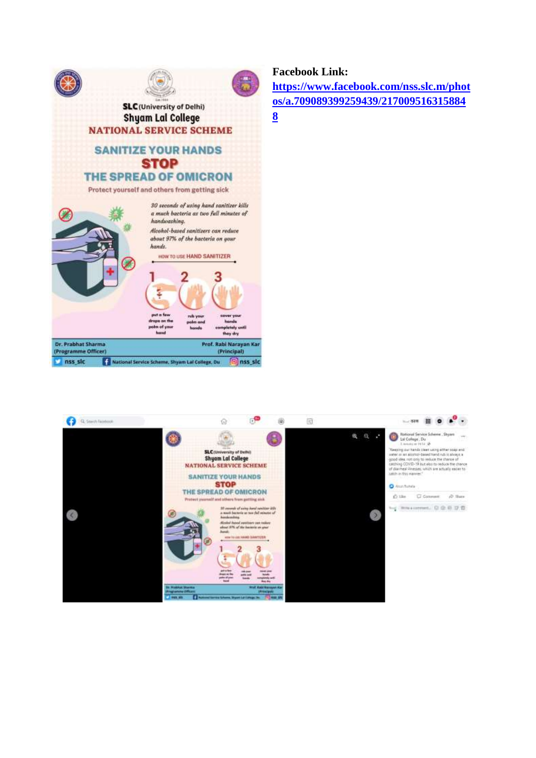

#### **Facebook Link:**

**[https://www.facebook.com/nss.slc.m/phot](https://www.facebook.com/nss.slc.m/photos/a.709089399259439/2170095163158848) [os/a.709089399259439/217009516315884](https://www.facebook.com/nss.slc.m/photos/a.709089399259439/2170095163158848)**

**[8](https://www.facebook.com/nss.slc.m/photos/a.709089399259439/2170095163158848)**

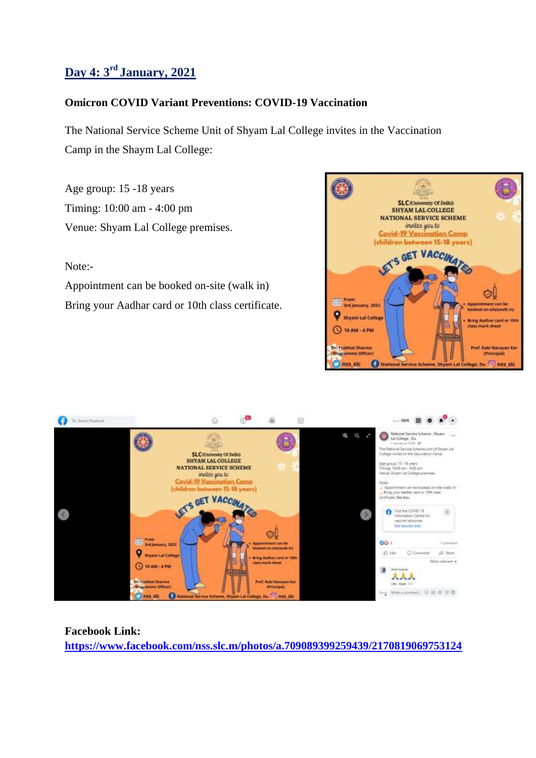## **Day 4: 3rd January, 2021**

### **Omicron COVID Variant Preventions: COVID-19 Vaccination**

The National Service Scheme Unit of Shyam Lal College invites in the Vaccination Camp in the Shaym Lal College:

Age group: 15 -18 years Timing: 10:00 am - 4:00 pm Venue: Shyam Lal College premises.

#### Note:-

Appointment can be booked on-site (walk in) Bring your Aadhar card or 10th class certificate.





## **Facebook Link: <https://www.facebook.com/nss.slc.m/photos/a.709089399259439/2170819069753124>**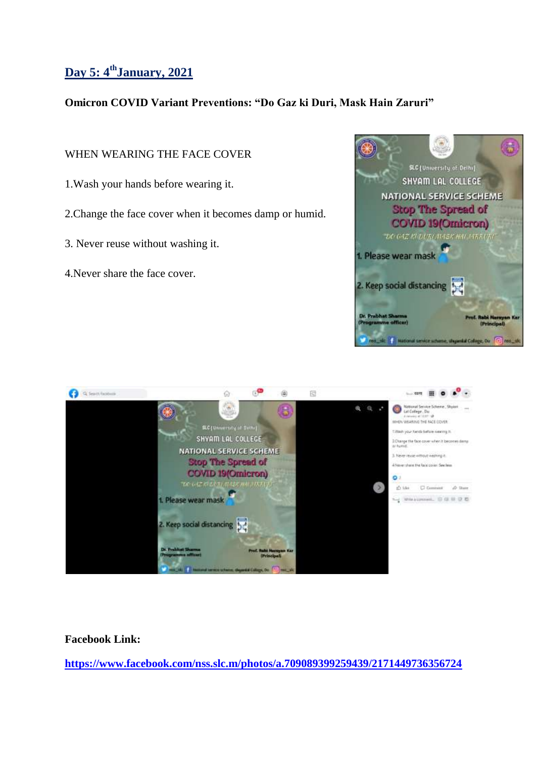# **Day 5: 4thJanuary, 2021**

### **Omicron COVID Variant Preventions: "Do Gaz ki Duri, Mask Hain Zaruri"**

### WHEN WEARING THE FACE COVER

- 1.Wash your hands before wearing it.
- 2.Change the face cover when it becomes damp or humid.
- 3. Never reuse without washing it.
- 4.Never share the face cover.





#### **Facebook Link:**

**<https://www.facebook.com/nss.slc.m/photos/a.709089399259439/2171449736356724>**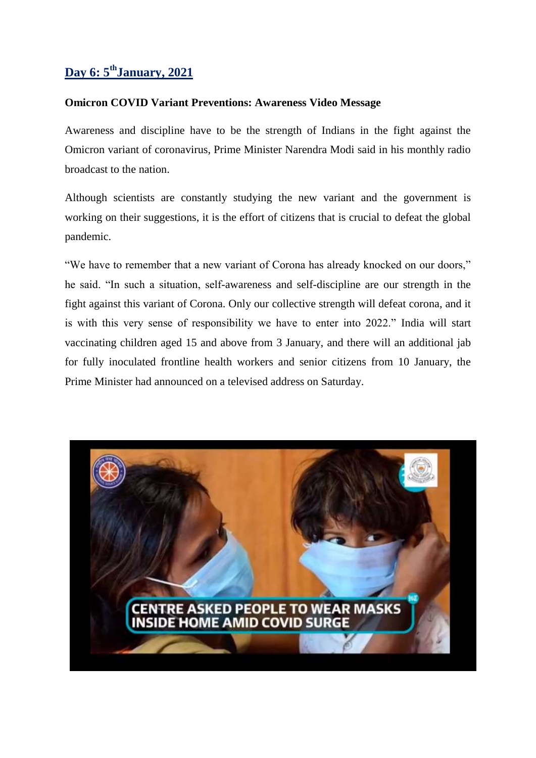## **Day 6: 5thJanuary, 2021**

#### **Omicron COVID Variant Preventions: Awareness Video Message**

Awareness and discipline have to be the strength of Indians in the fight against the Omicron variant of coronavirus, Prime Minister Narendra Modi said in his monthly radio broadcast to the nation.

Although scientists are constantly studying the new variant and the government is working on their suggestions, it is the effort of citizens that is crucial to defeat the global pandemic.

"We have to remember that a new variant of Corona has already knocked on our doors," he said. "In such a situation, self-awareness and self-discipline are our strength in the fight against this variant of Corona. Only our collective strength will defeat corona, and it is with this very sense of responsibility we have to enter into 2022." India will start vaccinating children aged 15 and above from 3 January, and there will an additional jab for fully inoculated frontline health workers and senior citizens from 10 January, the Prime Minister had announced on a televised address on Saturday.